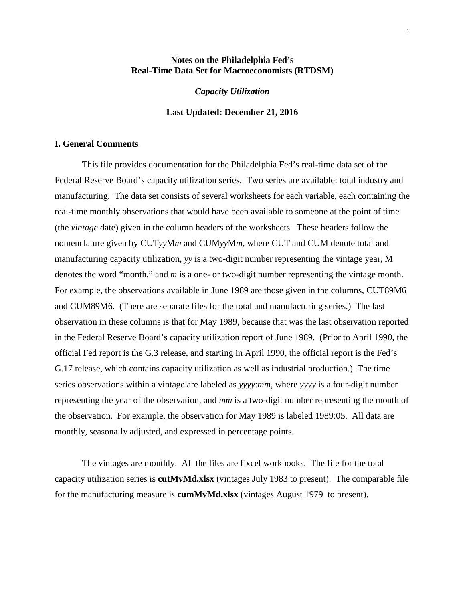### **Notes on the Philadelphia Fed's Real-Time Data Set for Macroeconomists (RTDSM)**

*Capacity Utilization*

### **Last Updated: December 21, 2016**

### **I. General Comments**

This file provides documentation for the Philadelphia Fed's real-time data set of the Federal Reserve Board's capacity utilization series. Two series are available: total industry and manufacturing. The data set consists of several worksheets for each variable, each containing the real-time monthly observations that would have been available to someone at the point of time (the *vintage* date) given in the column headers of the worksheets. These headers follow the nomenclature given by CUT*yy*M*m* and CUM*yy*M*m*, where CUT and CUM denote total and manufacturing capacity utilization, *yy* is a two-digit number representing the vintage year, M denotes the word "month," and *m* is a one- or two-digit number representing the vintage month. For example, the observations available in June 1989 are those given in the columns, CUT89M6 and CUM89M6. (There are separate files for the total and manufacturing series.) The last observation in these columns is that for May 1989, because that was the last observation reported in the Federal Reserve Board's capacity utilization report of June 1989. (Prior to April 1990, the official Fed report is the G.3 release, and starting in April 1990, the official report is the Fed's G.17 release, which contains capacity utilization as well as industrial production.) The time series observations within a vintage are labeled as *yyyy*:*mm*, where *yyyy* is a four-digit number representing the year of the observation, and *mm* is a two-digit number representing the month of the observation. For example, the observation for May 1989 is labeled 1989:05. All data are monthly, seasonally adjusted, and expressed in percentage points.

The vintages are monthly. All the files are Excel workbooks. The file for the total capacity utilization series is **cutMvMd.xlsx** (vintages July 1983 to present). The comparable file for the manufacturing measure is **cumMvMd.xlsx** (vintages August 1979 to present).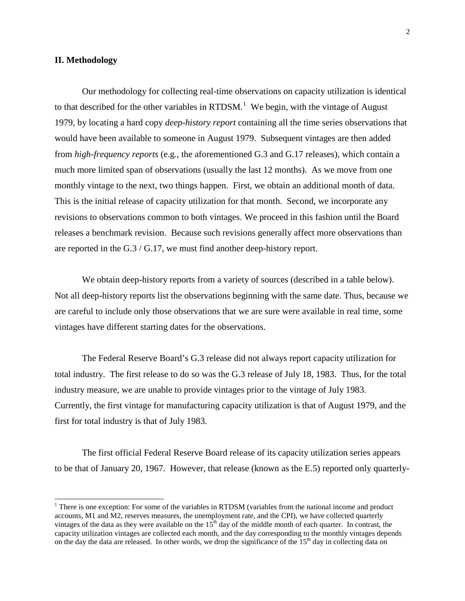### **II. Methodology**

Our methodology for collecting real-time observations on capacity utilization is identical to that described for the other variables in RTDSM.<sup>[1](#page-1-0)</sup> We begin, with the vintage of August 1979, by locating a hard copy *deep-history report* containing all the time series observations that would have been available to someone in August 1979. Subsequent vintages are then added from *high-frequency reports* (e.g., the aforementioned G.3 and G.17 releases), which contain a much more limited span of observations (usually the last 12 months). As we move from one monthly vintage to the next, two things happen. First, we obtain an additional month of data. This is the initial release of capacity utilization for that month. Second, we incorporate any revisions to observations common to both vintages. We proceed in this fashion until the Board releases a benchmark revision. Because such revisions generally affect more observations than are reported in the G.3 / G.17, we must find another deep-history report.

We obtain deep-history reports from a variety of sources (described in a table below). Not all deep-history reports list the observations beginning with the same date. Thus, because we are careful to include only those observations that we are sure were available in real time, some vintages have different starting dates for the observations.

The Federal Reserve Board's G.3 release did not always report capacity utilization for total industry. The first release to do so was the G.3 release of July 18, 1983. Thus, for the total industry measure, we are unable to provide vintages prior to the vintage of July 1983. Currently, the first vintage for manufacturing capacity utilization is that of August 1979, and the first for total industry is that of July 1983.

The first official Federal Reserve Board release of its capacity utilization series appears to be that of January 20, 1967. However, that release (known as the E.5) reported only quarterly-

<span id="page-1-0"></span> $<sup>1</sup>$  There is one exception: For some of the variables in RTDSM (variables from the national income and product</sup> accounts, M1 and M2, reserves measures, the unemployment rate, and the CPI), we have collected quarterly vintages of the data as they were available on the  $15<sup>th</sup>$  day of the middle month of each quarter. In contrast, the capacity utilization vintages are collected each month, and the day corresponding to the monthly vintages depends on the day the data are released. In other words, we drop the significance of the  $15<sup>th</sup>$  day in collecting data on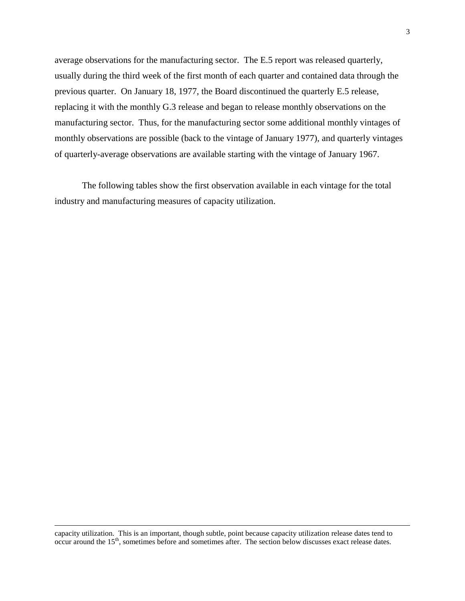average observations for the manufacturing sector. The E.5 report was released quarterly, usually during the third week of the first month of each quarter and contained data through the previous quarter. On January 18, 1977, the Board discontinued the quarterly E.5 release, replacing it with the monthly G.3 release and began to release monthly observations on the manufacturing sector. Thus, for the manufacturing sector some additional monthly vintages of monthly observations are possible (back to the vintage of January 1977), and quarterly vintages of quarterly-average observations are available starting with the vintage of January 1967.

The following tables show the first observation available in each vintage for the total industry and manufacturing measures of capacity utilization.

capacity utilization. This is an important, though subtle, point because capacity utilization release dates tend to occur around the 15<sup>th</sup>, sometimes before and sometimes after. The section below discusses exact release dates.

 $\overline{a}$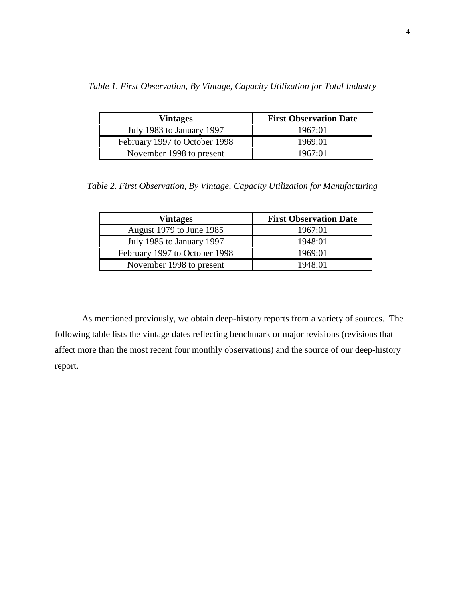|  | Table 1. First Observation, By Vintage, Capacity Utilization for Total Industry |  |  |  |  |  |
|--|---------------------------------------------------------------------------------|--|--|--|--|--|
|  |                                                                                 |  |  |  |  |  |

| <b>Vintages</b>               | <b>First Observation Date</b> |
|-------------------------------|-------------------------------|
| July 1983 to January 1997     | 1967:01                       |
| February 1997 to October 1998 | 1969:01                       |
| November 1998 to present      | 1967:01                       |

*Table 2. First Observation, By Vintage, Capacity Utilization for Manufacturing*

| <b>Vintages</b>               | <b>First Observation Date</b> |
|-------------------------------|-------------------------------|
| August 1979 to June 1985      | 1967:01                       |
| July 1985 to January 1997     | 1948:01                       |
| February 1997 to October 1998 | 1969:01                       |
| November 1998 to present      | 1948:01                       |

As mentioned previously, we obtain deep-history reports from a variety of sources. The following table lists the vintage dates reflecting benchmark or major revisions (revisions that affect more than the most recent four monthly observations) and the source of our deep-history report.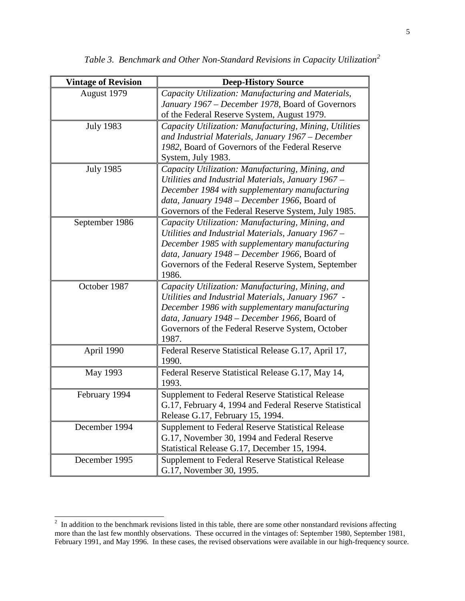| <b>Vintage of Revision</b> | <b>Deep-History Source</b>                                                                                                                                                                                                                                              |
|----------------------------|-------------------------------------------------------------------------------------------------------------------------------------------------------------------------------------------------------------------------------------------------------------------------|
| August 1979                | Capacity Utilization: Manufacturing and Materials,<br>January 1967 – December 1978, Board of Governors                                                                                                                                                                  |
|                            | of the Federal Reserve System, August 1979.                                                                                                                                                                                                                             |
| <b>July 1983</b>           | Capacity Utilization: Manufacturing, Mining, Utilities<br>and Industrial Materials, January 1967 – December<br>1982, Board of Governors of the Federal Reserve<br>System, July 1983.                                                                                    |
| <b>July 1985</b>           | Capacity Utilization: Manufacturing, Mining, and<br>Utilities and Industrial Materials, January 1967 -<br>December 1984 with supplementary manufacturing<br>data, January 1948 – December 1966, Board of<br>Governors of the Federal Reserve System, July 1985.         |
| September 1986             | Capacity Utilization: Manufacturing, Mining, and<br>Utilities and Industrial Materials, January 1967 -<br>December 1985 with supplementary manufacturing<br>data, January 1948 – December 1966, Board of<br>Governors of the Federal Reserve System, September<br>1986. |
| October 1987               | Capacity Utilization: Manufacturing, Mining, and<br>Utilities and Industrial Materials, January 1967 -<br>December 1986 with supplementary manufacturing<br>data, January 1948 – December 1966, Board of<br>Governors of the Federal Reserve System, October<br>1987.   |
| April 1990                 | Federal Reserve Statistical Release G.17, April 17,<br>1990.                                                                                                                                                                                                            |
| May 1993                   | Federal Reserve Statistical Release G.17, May 14,<br>1993.                                                                                                                                                                                                              |
| February 1994              | <b>Supplement to Federal Reserve Statistical Release</b><br>G.17, February 4, 1994 and Federal Reserve Statistical<br>Release G.17, February 15, 1994.                                                                                                                  |
| December 1994              | <b>Supplement to Federal Reserve Statistical Release</b><br>G.17, November 30, 1994 and Federal Reserve<br>Statistical Release G.17, December 15, 1994.                                                                                                                 |
| December 1995              | <b>Supplement to Federal Reserve Statistical Release</b><br>G.17, November 30, 1995.                                                                                                                                                                                    |

*Table 3. Benchmark and Other Non-Standard Revisions in Capacity Utilization[2](#page-4-0)*

<span id="page-4-0"></span><sup>&</sup>lt;sup>2</sup> In addition to the benchmark revisions listed in this table, there are some other nonstandard revisions affecting more than the last few monthly observations. These occurred in the vintages of: September 1980, September 1981, February 1991, and May 1996. In these cases, the revised observations were available in our high-frequency source.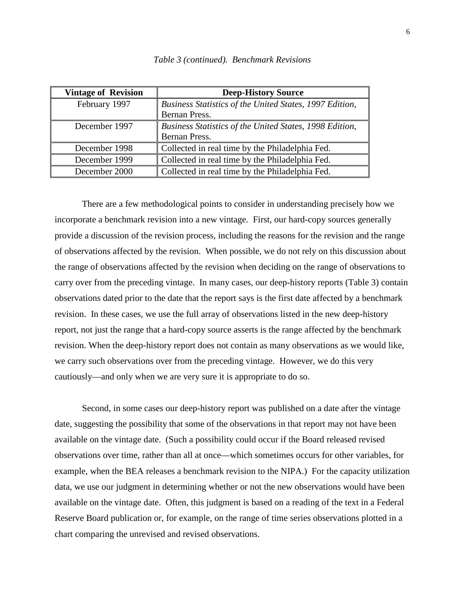| <b>Vintage of Revision</b> | <b>Deep-History Source</b>                              |
|----------------------------|---------------------------------------------------------|
| February 1997              | Business Statistics of the United States, 1997 Edition, |
|                            | Bernan Press.                                           |
| December 1997              | Business Statistics of the United States, 1998 Edition, |
|                            | Bernan Press.                                           |
| December 1998              | Collected in real time by the Philadelphia Fed.         |
| December 1999              | Collected in real time by the Philadelphia Fed.         |
| December 2000              | Collected in real time by the Philadelphia Fed.         |

*Table 3 (continued). Benchmark Revisions*

There are a few methodological points to consider in understanding precisely how we incorporate a benchmark revision into a new vintage. First, our hard-copy sources generally provide a discussion of the revision process, including the reasons for the revision and the range of observations affected by the revision. When possible, we do not rely on this discussion about the range of observations affected by the revision when deciding on the range of observations to carry over from the preceding vintage. In many cases, our deep-history reports (Table 3) contain observations dated prior to the date that the report says is the first date affected by a benchmark revision. In these cases, we use the full array of observations listed in the new deep-history report, not just the range that a hard-copy source asserts is the range affected by the benchmark revision. When the deep-history report does not contain as many observations as we would like, we carry such observations over from the preceding vintage. However, we do this very cautiously—and only when we are very sure it is appropriate to do so.

Second, in some cases our deep-history report was published on a date after the vintage date, suggesting the possibility that some of the observations in that report may not have been available on the vintage date. (Such a possibility could occur if the Board released revised observations over time, rather than all at once—which sometimes occurs for other variables, for example, when the BEA releases a benchmark revision to the NIPA.) For the capacity utilization data, we use our judgment in determining whether or not the new observations would have been available on the vintage date. Often, this judgment is based on a reading of the text in a Federal Reserve Board publication or, for example, on the range of time series observations plotted in a chart comparing the unrevised and revised observations.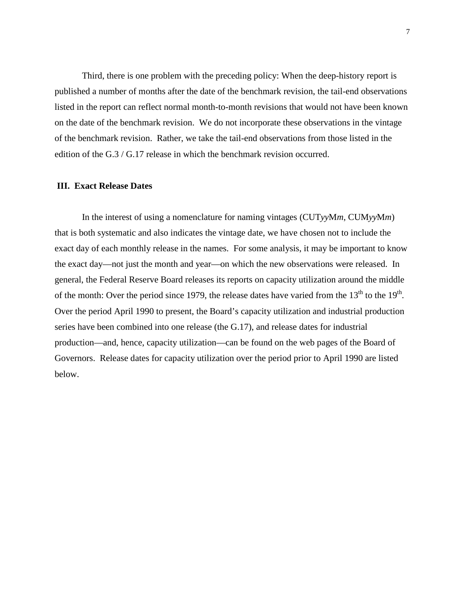Third, there is one problem with the preceding policy: When the deep-history report is published a number of months after the date of the benchmark revision, the tail-end observations listed in the report can reflect normal month-to-month revisions that would not have been known on the date of the benchmark revision. We do not incorporate these observations in the vintage of the benchmark revision. Rather, we take the tail-end observations from those listed in the edition of the G.3 / G.17 release in which the benchmark revision occurred.

#### **III. Exact Release Dates**

In the interest of using a nomenclature for naming vintages (CUT*yy*M*m*, CUM*yy*M*m*) that is both systematic and also indicates the vintage date, we have chosen not to include the exact day of each monthly release in the names. For some analysis, it may be important to know the exact day—not just the month and year—on which the new observations were released. In general, the Federal Reserve Board releases its reports on capacity utilization around the middle of the month: Over the period since 1979, the release dates have varied from the  $13<sup>th</sup>$  to the  $19<sup>th</sup>$ . Over the period April 1990 to present, the Board's capacity utilization and industrial production series have been combined into one release (the G.17), and release dates for industrial production—and, hence, capacity utilization—can be found on the web pages of the Board of Governors. Release dates for capacity utilization over the period prior to April 1990 are listed below.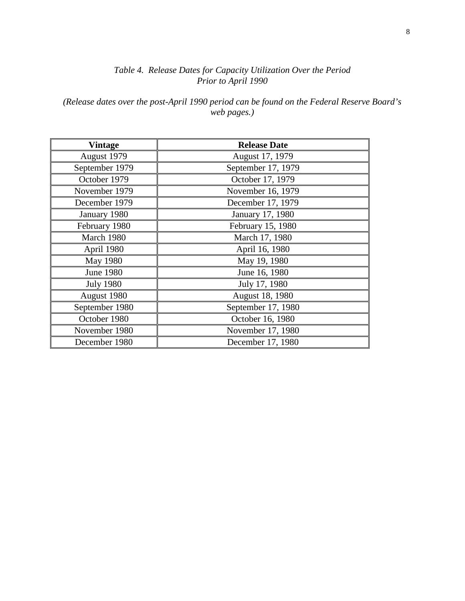*(Release dates over the post-April 1990 period can be found on the Federal Reserve Board's web pages.)*

| <b>Vintage</b>   | <b>Release Date</b> |
|------------------|---------------------|
| August 1979      | August 17, 1979     |
| September 1979   | September 17, 1979  |
| October 1979     | October 17, 1979    |
| November 1979    | November 16, 1979   |
| December 1979    | December 17, 1979   |
| January 1980     | January 17, 1980    |
| February 1980    | February 15, 1980   |
| March 1980       | March 17, 1980      |
| April 1980       | April 16, 1980      |
| <b>May 1980</b>  | May 19, 1980        |
| <b>June 1980</b> | June 16, 1980       |
| <b>July 1980</b> | July 17, 1980       |
| August 1980      | August 18, 1980     |
| September 1980   | September 17, 1980  |
| October 1980     | October 16, 1980    |
| November 1980    | November 17, 1980   |
| December 1980    | December 17, 1980   |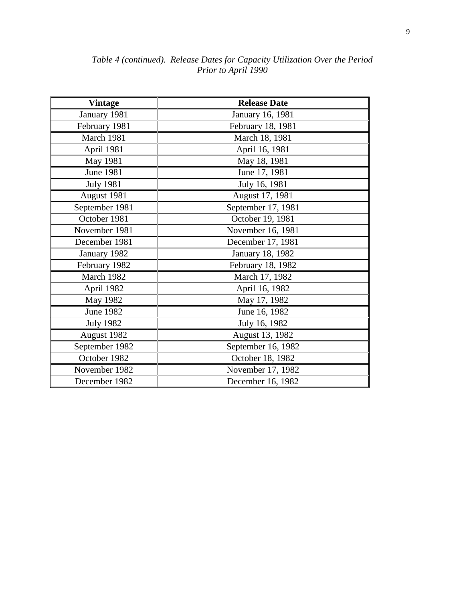| <b>Vintage</b>   | <b>Release Date</b> |
|------------------|---------------------|
| January 1981     | January 16, 1981    |
| February 1981    | February 18, 1981   |
| March 1981       | March 18, 1981      |
| April 1981       | April 16, 1981      |
| May 1981         | May 18, 1981        |
| <b>June 1981</b> | June 17, 1981       |
| <b>July 1981</b> | July 16, 1981       |
| August 1981      | August 17, 1981     |
| September 1981   | September 17, 1981  |
| October 1981     | October 19, 1981    |
| November 1981    | November 16, 1981   |
| December 1981    | December 17, 1981   |
| January 1982     | January 18, 1982    |
| February 1982    | February 18, 1982   |
| March 1982       | March 17, 1982      |
| April 1982       | April 16, 1982      |
| May 1982         | May 17, 1982        |
| <b>June 1982</b> | June 16, 1982       |
| <b>July 1982</b> | July 16, 1982       |
| August 1982      | August 13, 1982     |
| September 1982   | September 16, 1982  |
| October 1982     | October 18, 1982    |
| November 1982    | November 17, 1982   |
| December 1982    | December 16, 1982   |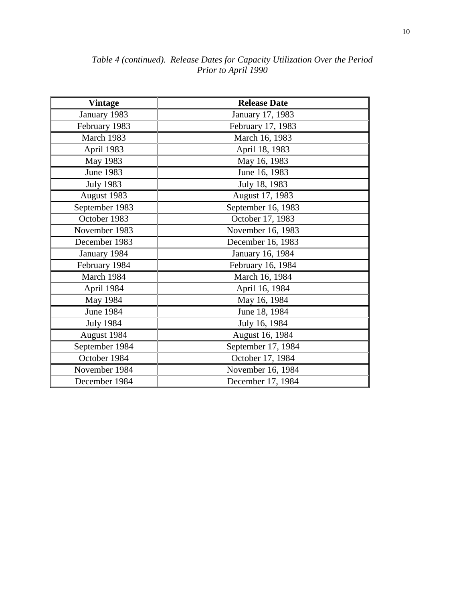| <b>Vintage</b>   | <b>Release Date</b> |  |
|------------------|---------------------|--|
| January 1983     | January 17, 1983    |  |
| February 1983    | February 17, 1983   |  |
| March 1983       | March 16, 1983      |  |
| April 1983       | April 18, 1983      |  |
| May 1983         | May 16, 1983        |  |
| <b>June 1983</b> | June 16, 1983       |  |
| <b>July 1983</b> | July 18, 1983       |  |
| August 1983      | August 17, 1983     |  |
| September 1983   | September 16, 1983  |  |
| October 1983     | October 17, 1983    |  |
| November 1983    | November 16, 1983   |  |
| December 1983    | December 16, 1983   |  |
| January 1984     | January 16, 1984    |  |
| February 1984    | February 16, 1984   |  |
| March 1984       | March 16, 1984      |  |
| April 1984       | April 16, 1984      |  |
| May 1984         | May 16, 1984        |  |
| <b>June 1984</b> | June 18, 1984       |  |
| <b>July 1984</b> | July 16, 1984       |  |
| August 1984      | August 16, 1984     |  |
| September 1984   | September 17, 1984  |  |
| October 1984     | October 17, 1984    |  |
| November 1984    | November 16, 1984   |  |
| December 1984    | December 17, 1984   |  |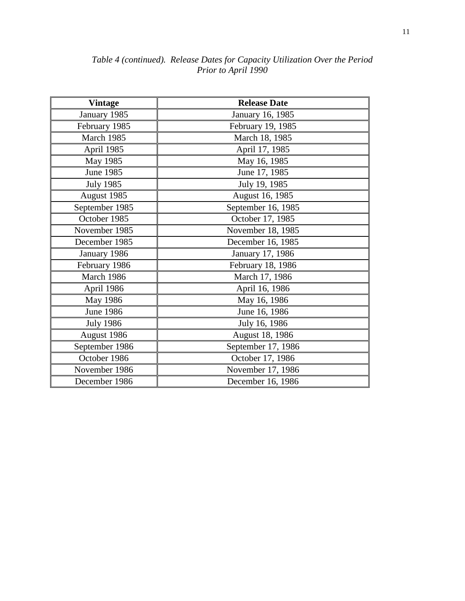| <b>Vintage</b>   | <b>Release Date</b> |
|------------------|---------------------|
| January 1985     | January 16, 1985    |
| February 1985    | February 19, 1985   |
| March 1985       | March 18, 1985      |
| April 1985       | April 17, 1985      |
| May 1985         | May 16, 1985        |
| <b>June 1985</b> | June 17, 1985       |
| <b>July 1985</b> | July 19, 1985       |
| August 1985      | August 16, 1985     |
| September 1985   | September 16, 1985  |
| October 1985     | October 17, 1985    |
| November 1985    | November 18, 1985   |
| December 1985    | December 16, 1985   |
| January 1986     | January 17, 1986    |
| February 1986    | February 18, 1986   |
| March 1986       | March 17, 1986      |
| April 1986       | April 16, 1986      |
| May 1986         | May 16, 1986        |
| <b>June 1986</b> | June 16, 1986       |
| <b>July 1986</b> | July 16, 1986       |
| August 1986      | August 18, 1986     |
| September 1986   | September 17, 1986  |
| October 1986     | October 17, 1986    |
| November 1986    | November 17, 1986   |
| December 1986    | December 16, 1986   |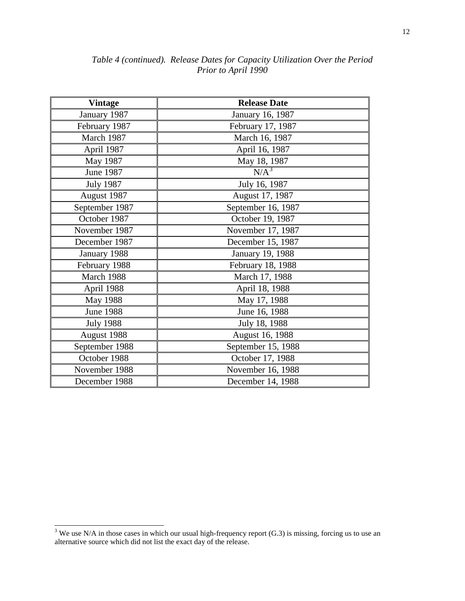| <b>Vintage</b>   | <b>Release Date</b> |
|------------------|---------------------|
| January 1987     | January 16, 1987    |
| February 1987    | February 17, 1987   |
| March 1987       | March 16, 1987      |
| April 1987       | April 16, 1987      |
| May 1987         | May 18, 1987        |
| June 1987        | N/A <sup>3</sup>    |
| <b>July 1987</b> | July 16, 1987       |
| August 1987      | August 17, 1987     |
| September 1987   | September 16, 1987  |
| October 1987     | October 19, 1987    |
| November 1987    | November 17, 1987   |
| December 1987    | December 15, 1987   |
| January 1988     | January 19, 1988    |
| February 1988    | February 18, 1988   |
| March 1988       | March 17, 1988      |
| April 1988       | April 18, 1988      |
| <b>May 1988</b>  | May 17, 1988        |
| <b>June 1988</b> | June 16, 1988       |
| <b>July 1988</b> | July 18, 1988       |
| August 1988      | August 16, 1988     |
| September 1988   | September 15, 1988  |
| October 1988     | October 17, 1988    |
| November 1988    | November 16, 1988   |
| December 1988    | December 14, 1988   |

<span id="page-11-0"></span> $\frac{3}{3}$  We use N/A in those cases in which our usual high-frequency report (G.3) is missing, forcing us to use an alternative source which did not list the exact day of the release.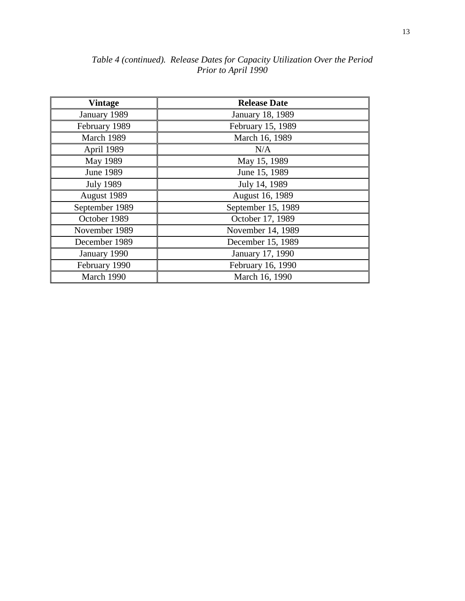| <b>Vintage</b>   | <b>Release Date</b> |
|------------------|---------------------|
| January 1989     | January 18, 1989    |
| February 1989    | February 15, 1989   |
| March 1989       | March 16, 1989      |
| April 1989       | N/A                 |
| May 1989         | May 15, 1989        |
| <b>June 1989</b> | June 15, 1989       |
| <b>July 1989</b> | July 14, 1989       |
| August 1989      | August 16, 1989     |
| September 1989   | September 15, 1989  |
| October 1989     | October 17, 1989    |
| November 1989    | November 14, 1989   |
| December 1989    | December 15, 1989   |
| January 1990     | January 17, 1990    |
| February 1990    | February 16, 1990   |
| March 1990       | March 16, 1990      |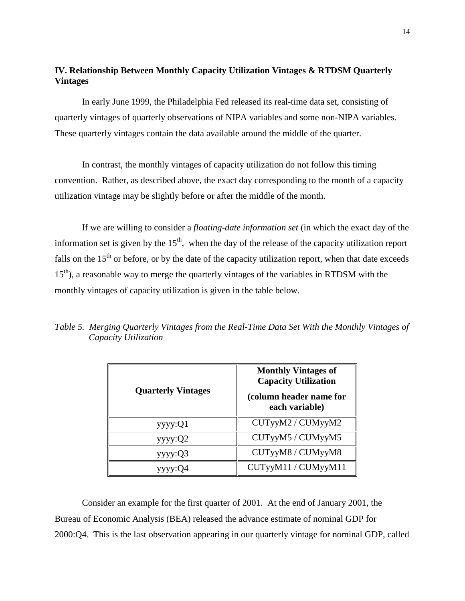## **IV. Relationship Between Monthly Capacity Utilization Vintages & RTDSM Quarterly Vintages**

In early June 1999, the Philadelphia Fed released its real-time data set, consisting of quarterly vintages of quarterly observations of NIPA variables and some non-NIPA variables. These quarterly vintages contain the data available around the middle of the quarter.

In contrast, the monthly vintages of capacity utilization do not follow this timing convention. Rather, as described above, the exact day corresponding to the month of a capacity utilization vintage may be slightly before or after the middle of the month.

If we are willing to consider a *floating-date information set* (in which the exact day of the information set is given by the  $15<sup>th</sup>$ , when the day of the release of the capacity utilization report falls on the  $15<sup>th</sup>$  or before, or by the date of the capacity utilization report, when that date exceeds 15<sup>th</sup>), a reasonable way to merge the quarterly vintages of the variables in RTDSM with the monthly vintages of capacity utilization is given in the table below.

| <b>Quarterly Vintages</b> | <b>Monthly Vintages of</b><br><b>Capacity Utilization</b><br>(column header name for<br>each variable) |
|---------------------------|--------------------------------------------------------------------------------------------------------|
| yyy:Q1                    | CUTyyM2 / CUMyyM2                                                                                      |
| yyyy:Q2                   | CUTyyM5 / CUMyyM5                                                                                      |
| yyy:Q3                    | CUTyyM8 / CUMyyM8                                                                                      |
| yyyy:Q4                   | CUTyyM11 / CUMyyM11                                                                                    |

*Table 5. Merging Quarterly Vintages from the Real-Time Data Set With the Monthly Vintages of Capacity Utilization* 

Consider an example for the first quarter of 2001. At the end of January 2001, the Bureau of Economic Analysis (BEA) released the advance estimate of nominal GDP for 2000:Q4. This is the last observation appearing in our quarterly vintage for nominal GDP, called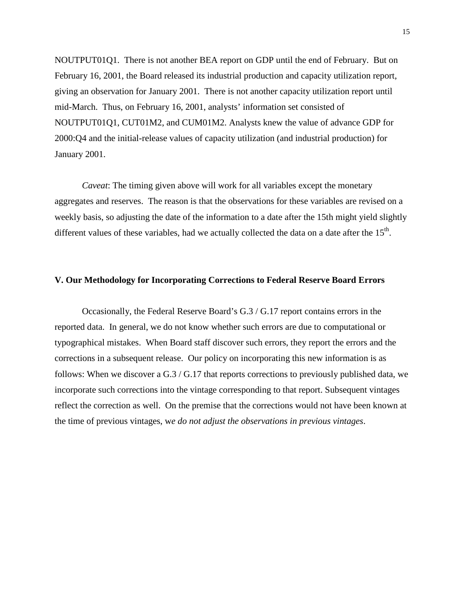NOUTPUT01Q1. There is not another BEA report on GDP until the end of February. But on February 16, 2001, the Board released its industrial production and capacity utilization report, giving an observation for January 2001. There is not another capacity utilization report until mid-March. Thus, on February 16, 2001, analysts' information set consisted of NOUTPUT01Q1, CUT01M2, and CUM01M2. Analysts knew the value of advance GDP for 2000:Q4 and the initial-release values of capacity utilization (and industrial production) for January 2001.

*Caveat*: The timing given above will work for all variables except the monetary aggregates and reserves. The reason is that the observations for these variables are revised on a weekly basis, so adjusting the date of the information to a date after the 15th might yield slightly different values of these variables, had we actually collected the data on a date after the  $15<sup>th</sup>$ .

### **V. Our Methodology for Incorporating Corrections to Federal Reserve Board Errors**

Occasionally, the Federal Reserve Board's G.3 / G.17 report contains errors in the reported data. In general, we do not know whether such errors are due to computational or typographical mistakes. When Board staff discover such errors, they report the errors and the corrections in a subsequent release. Our policy on incorporating this new information is as follows: When we discover a G.3 / G.17 that reports corrections to previously published data, we incorporate such corrections into the vintage corresponding to that report. Subsequent vintages reflect the correction as well. On the premise that the corrections would not have been known at the time of previous vintages, w*e do not adjust the observations in previous vintages*.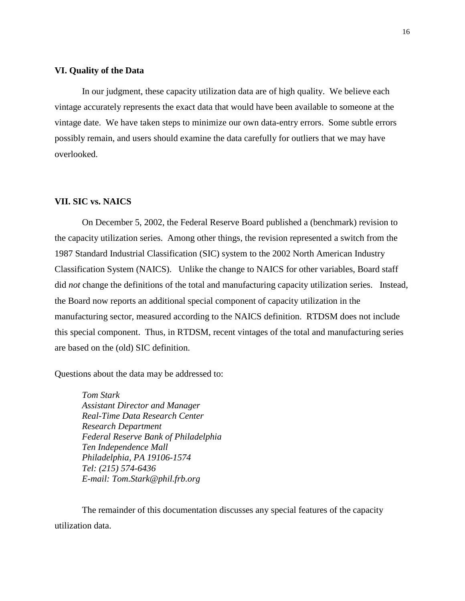### **VI. Quality of the Data**

In our judgment, these capacity utilization data are of high quality. We believe each vintage accurately represents the exact data that would have been available to someone at the vintage date. We have taken steps to minimize our own data-entry errors. Some subtle errors possibly remain, and users should examine the data carefully for outliers that we may have overlooked.

### **VII. SIC vs. NAICS**

On December 5, 2002, the Federal Reserve Board published a (benchmark) revision to the capacity utilization series. Among other things, the revision represented a switch from the 1987 Standard Industrial Classification (SIC) system to the 2002 North American Industry Classification System (NAICS). Unlike the change to NAICS for other variables, Board staff did *not* change the definitions of the total and manufacturing capacity utilization series. Instead, the Board now reports an additional special component of capacity utilization in the manufacturing sector, measured according to the NAICS definition. RTDSM does not include this special component. Thus, in RTDSM, recent vintages of the total and manufacturing series are based on the (old) SIC definition.

Questions about the data may be addressed to:

*Tom Stark Assistant Director and Manager Real-Time Data Research Center Research Department Federal Reserve Bank of Philadelphia Ten Independence Mall Philadelphia, PA 19106-1574 Tel: (215) 574-6436 E-mail: Tom.Stark@phil.frb.org*

The remainder of this documentation discusses any special features of the capacity utilization data.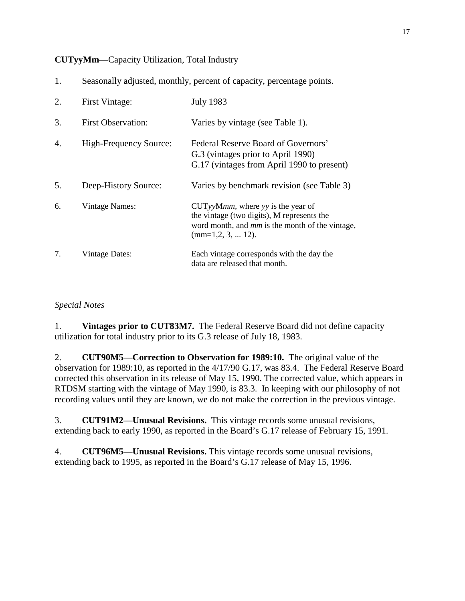**CUTyyMm**—Capacity Utilization, Total Industry

|  |  | Seasonally adjusted, monthly, percent of capacity, percentage points. |  |  |  |
|--|--|-----------------------------------------------------------------------|--|--|--|
|--|--|-----------------------------------------------------------------------|--|--|--|

| 2. | First Vintage:            | <b>July 1983</b>                                                                                                                                                  |
|----|---------------------------|-------------------------------------------------------------------------------------------------------------------------------------------------------------------|
| 3. | <b>First Observation:</b> | Varies by vintage (see Table 1).                                                                                                                                  |
| 4. | High-Frequency Source:    | Federal Reserve Board of Governors'<br>G.3 (vintages prior to April 1990)<br>G.17 (vintages from April 1990 to present)                                           |
| 5. | Deep-History Source:      | Varies by benchmark revision (see Table 3)                                                                                                                        |
| 6. | <b>Vintage Names:</b>     | $CUTyyMmm$ , where yy is the year of<br>the vintage (two digits), M represents the<br>word month, and <i>mm</i> is the month of the vintage,<br>$(mm=1,2,3, 12).$ |
| 7. | Vintage Dates:            | Each vintage corresponds with the day the<br>data are released that month.                                                                                        |

## *Special Notes*

1. **Vintages prior to CUT83M7.** The Federal Reserve Board did not define capacity utilization for total industry prior to its G.3 release of July 18, 1983.

2. **CUT90M5—Correction to Observation for 1989:10.** The original value of the observation for 1989:10, as reported in the 4/17/90 G.17, was 83.4. The Federal Reserve Board corrected this observation in its release of May 15, 1990. The corrected value, which appears in RTDSM starting with the vintage of May 1990, is 83.3. In keeping with our philosophy of not recording values until they are known, we do not make the correction in the previous vintage.

3. **CUT91M2—Unusual Revisions.** This vintage records some unusual revisions, extending back to early 1990, as reported in the Board's G.17 release of February 15, 1991.

4. **CUT96M5—Unusual Revisions.** This vintage records some unusual revisions, extending back to 1995, as reported in the Board's G.17 release of May 15, 1996.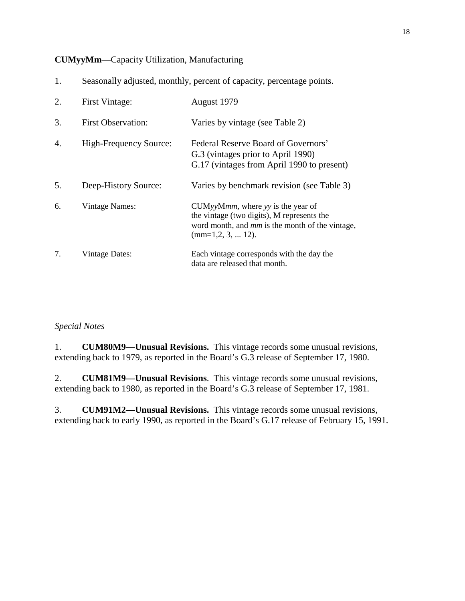## **CUMyyMm**—Capacity Utilization, Manufacturing

| 1. | Seasonally adjusted, monthly, percent of capacity, percentage points. |                                                                                                                                                                          |
|----|-----------------------------------------------------------------------|--------------------------------------------------------------------------------------------------------------------------------------------------------------------------|
| 2. | <b>First Vintage:</b>                                                 | August 1979                                                                                                                                                              |
| 3. | <b>First Observation:</b>                                             | Varies by vintage (see Table 2)                                                                                                                                          |
| 4. | <b>High-Frequency Source:</b>                                         | Federal Reserve Board of Governors'<br>G.3 (vintages prior to April 1990)<br>G.17 (vintages from April 1990 to present)                                                  |
| 5. | Deep-History Source:                                                  | Varies by benchmark revision (see Table 3)                                                                                                                               |
| 6. | Vintage Names:                                                        | $CUMyyMmm$ , where yy is the year of<br>the vintage (two digits), M represents the<br>word month, and <i>mm</i> is the month of the vintage,<br>$(mm=1,2, 3, \dots 12).$ |
| 7. | <b>Vintage Dates:</b>                                                 | Each vintage corresponds with the day the<br>data are released that month.                                                                                               |

## *Special Notes*

1. **CUM80M9—Unusual Revisions.** This vintage records some unusual revisions, extending back to 1979, as reported in the Board's G.3 release of September 17, 1980.

2. **CUM81M9—Unusual Revisions**. This vintage records some unusual revisions, extending back to 1980, as reported in the Board's G.3 release of September 17, 1981.

3. **CUM91M2—Unusual Revisions.** This vintage records some unusual revisions, extending back to early 1990, as reported in the Board's G.17 release of February 15, 1991.